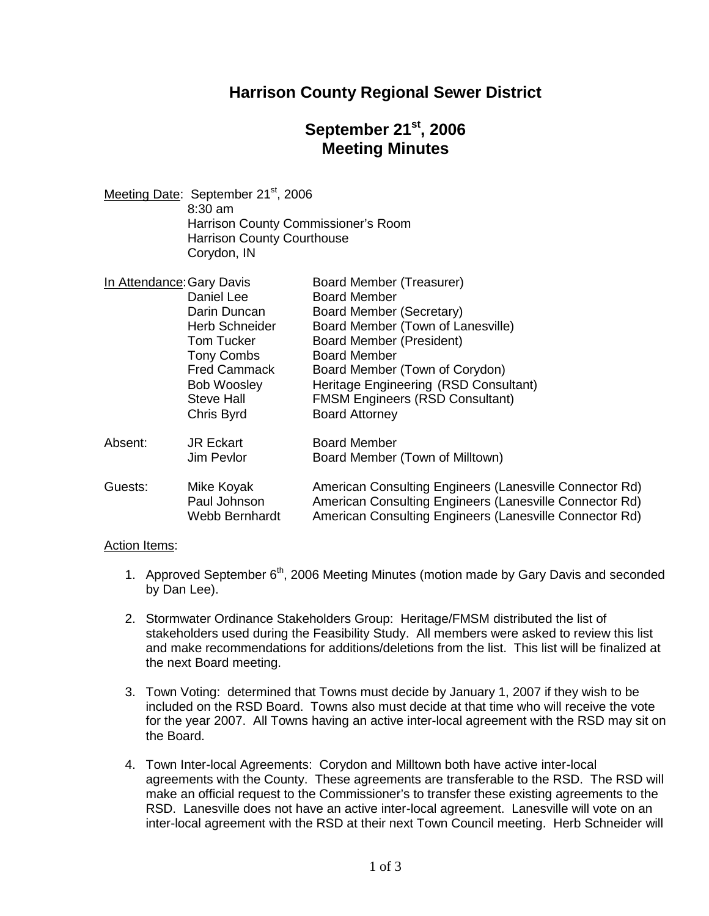### **Harrison County Regional Sewer District**

# **September 21st , 2006 Meeting Minutes**

Meeting Date: September 21<sup>st</sup>, 2006 8:30 am Harrison County Commissioner's Room Harrison County Courthouse Corydon, IN

|         | In Attendance: Gary Davis      | Board Member (Treasurer)                                                                                           |
|---------|--------------------------------|--------------------------------------------------------------------------------------------------------------------|
|         | Daniel Lee                     | <b>Board Member</b>                                                                                                |
|         | Darin Duncan                   | Board Member (Secretary)                                                                                           |
|         | <b>Herb Schneider</b>          | Board Member (Town of Lanesville)                                                                                  |
|         | <b>Tom Tucker</b>              | Board Member (President)                                                                                           |
|         | <b>Tony Combs</b>              | <b>Board Member</b>                                                                                                |
|         | <b>Fred Cammack</b>            | Board Member (Town of Corydon)                                                                                     |
|         | <b>Bob Woosley</b>             | Heritage Engineering (RSD Consultant)                                                                              |
|         | <b>Steve Hall</b>              | <b>FMSM Engineers (RSD Consultant)</b>                                                                             |
|         | Chris Byrd                     | <b>Board Attorney</b>                                                                                              |
| Absent: | <b>JR Eckart</b>               | <b>Board Member</b>                                                                                                |
|         | Jim Pevlor                     | Board Member (Town of Milltown)                                                                                    |
| Guests: | Mike Koyak                     | American Consulting Engineers (Lanesville Connector Rd)                                                            |
|         | Paul Johnson<br>Webb Bernhardt | American Consulting Engineers (Lanesville Connector Rd)<br>American Consulting Engineers (Lanesville Connector Rd) |
|         |                                |                                                                                                                    |

#### Action Items:

- 1. Approved September  $6<sup>th</sup>$ , 2006 Meeting Minutes (motion made by Gary Davis and seconded by Dan Lee).
- 2. Stormwater Ordinance Stakeholders Group: Heritage/FMSM distributed the list of stakeholders used during the Feasibility Study. All members were asked to review this list and make recommendations for additions/deletions from the list. This list will be finalized at the next Board meeting.
- 3. Town Voting: determined that Towns must decide by January 1, 2007 if they wish to be included on the RSD Board. Towns also must decide at that time who will receive the vote for the year 2007. All Towns having an active inter-local agreement with the RSD may sit on the Board.
- 4. Town Inter-local Agreements: Corydon and Milltown both have active inter-local agreements with the County. These agreements are transferable to the RSD. The RSD will make an official request to the Commissioner's to transfer these existing agreements to the RSD. Lanesville does not have an active inter-local agreement. Lanesville will vote on an inter-local agreement with the RSD at their next Town Council meeting. Herb Schneider will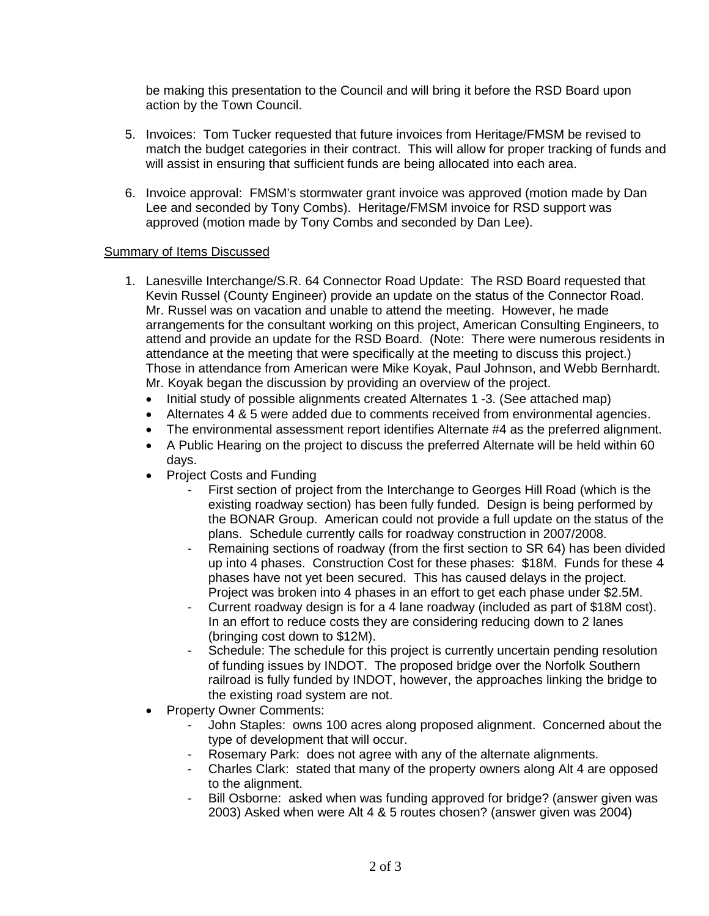be making this presentation to the Council and will bring it before the RSD Board upon action by the Town Council.

- 5. Invoices: Tom Tucker requested that future invoices from Heritage/FMSM be revised to match the budget categories in their contract. This will allow for proper tracking of funds and will assist in ensuring that sufficient funds are being allocated into each area.
- 6. Invoice approval: FMSM's stormwater grant invoice was approved (motion made by Dan Lee and seconded by Tony Combs). Heritage/FMSM invoice for RSD support was approved (motion made by Tony Combs and seconded by Dan Lee).

### Summary of Items Discussed

- 1. Lanesville Interchange/S.R. 64 Connector Road Update: The RSD Board requested that Kevin Russel (County Engineer) provide an update on the status of the Connector Road. Mr. Russel was on vacation and unable to attend the meeting. However, he made arrangements for the consultant working on this project, American Consulting Engineers, to attend and provide an update for the RSD Board. (Note: There were numerous residents in attendance at the meeting that were specifically at the meeting to discuss this project.) Those in attendance from American were Mike Koyak, Paul Johnson, and Webb Bernhardt. Mr. Koyak began the discussion by providing an overview of the project.
	- Initial study of possible alignments created Alternates 1 -3. (See attached map)
	- Alternates 4 & 5 were added due to comments received from environmental agencies.
	- The environmental assessment report identifies Alternate #4 as the preferred alignment.
	- A Public Hearing on the project to discuss the preferred Alternate will be held within 60 days.
	- Project Costs and Funding
		- First section of project from the Interchange to Georges Hill Road (which is the existing roadway section) has been fully funded. Design is being performed by the BONAR Group. American could not provide a full update on the status of the plans. Schedule currently calls for roadway construction in 2007/2008.
		- Remaining sections of roadway (from the first section to SR 64) has been divided up into 4 phases. Construction Cost for these phases: \$18M. Funds for these 4 phases have not yet been secured. This has caused delays in the project. Project was broken into 4 phases in an effort to get each phase under \$2.5M.
		- Current roadway design is for a 4 lane roadway (included as part of \$18M cost). In an effort to reduce costs they are considering reducing down to 2 lanes (bringing cost down to \$12M).
		- Schedule: The schedule for this project is currently uncertain pending resolution of funding issues by INDOT. The proposed bridge over the Norfolk Southern railroad is fully funded by INDOT, however, the approaches linking the bridge to the existing road system are not.
	- Property Owner Comments:
		- John Staples: owns 100 acres along proposed alignment. Concerned about the type of development that will occur.
		- Rosemary Park: does not agree with any of the alternate alignments.
		- Charles Clark: stated that many of the property owners along Alt 4 are opposed to the alignment.
		- Bill Osborne: asked when was funding approved for bridge? (answer given was 2003) Asked when were Alt 4 & 5 routes chosen? (answer given was 2004)